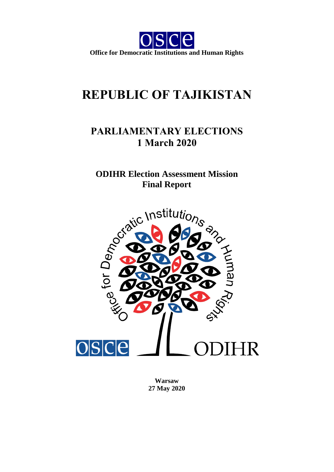

# **REPUBLIC OF TAJIKISTAN**

# **PARLIAMENTARY ELECTIONS 1 March 2020**

**Final Report**



**Warsaw 27 May 2020**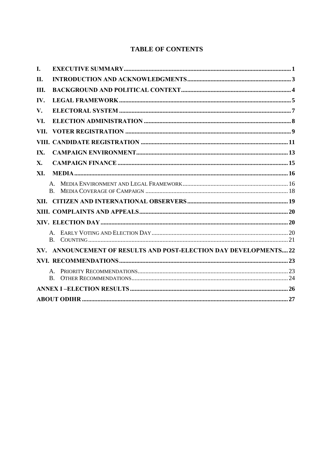# **TABLE OF CONTENTS**

| I.   |                                                                   |  |
|------|-------------------------------------------------------------------|--|
| II.  |                                                                   |  |
| Ш.   |                                                                   |  |
| IV.  |                                                                   |  |
| V.   |                                                                   |  |
| VI.  |                                                                   |  |
| VII. |                                                                   |  |
|      |                                                                   |  |
| IX.  |                                                                   |  |
| X.   |                                                                   |  |
| XI.  |                                                                   |  |
|      | B.                                                                |  |
| XII. |                                                                   |  |
|      |                                                                   |  |
|      |                                                                   |  |
|      |                                                                   |  |
|      | XV. ANNOUNCEMENT OF RESULTS AND POST-ELECTION DAY DEVELOPMENTS 22 |  |
|      |                                                                   |  |
|      | $\mathbf{B}$ .                                                    |  |
|      |                                                                   |  |
|      |                                                                   |  |
|      |                                                                   |  |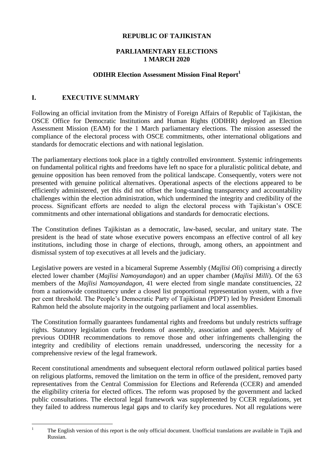#### **REPUBLIC OF TAJIKISTAN**

#### **PARLIAMENTARY ELECTIONS 1 MARCH 2020**

# **ODIHR Election Assessment Mission Final Report<sup>1</sup>**

# <span id="page-2-0"></span>**I. EXECUTIVE SUMMARY**

Following an official invitation from the Ministry of Foreign Affairs of Republic of Tajikistan, the OSCE Office for Democratic Institutions and Human Rights (ODIHR) deployed an Election Assessment Mission (EAM) for the 1 March parliamentary elections. The mission assessed the compliance of the electoral process with OSCE commitments, other international obligations and standards for democratic elections and with national legislation.

The parliamentary elections took place in a tightly controlled environment. Systemic infringements on fundamental political rights and freedoms have left no space for a pluralistic political debate, and genuine opposition has been removed from the political landscape. Consequently, voters were not presented with genuine political alternatives. Operational aspects of the elections appeared to be efficiently administered, yet this did not offset the long-standing transparency and accountability challenges within the election administration, which undermined the integrity and credibility of the process. Significant efforts are needed to align the electoral process with Tajikistan's OSCE commitments and other international obligations and standards for democratic elections.

The Constitution defines Tajikistan as a democratic, law-based, secular, and unitary state. The president is the head of state whose executive powers encompass an effective control of all key institutions, including those in charge of elections, through, among others, an appointment and dismissal system of top executives at all levels and the judiciary.

Legislative powers are vested in a bicameral Supreme Assembly (*Majlisi Oli*) comprising a directly elected lower chamber (*Majlisi Namoyandagon*) and an upper chamber (*Majlisi Milli*). Of the 63 members of the *Majlisi Namoyandagon*, 41 were elected from single mandate constituencies, 22 from a nationwide constituency under a closed list proportional representation system, with a five per cent threshold. The People's Democratic Party of Tajikistan (PDPT) led by President Emomali Rahmon held the absolute majority in the outgoing parliament and local assemblies.

The Constitution formally guarantees fundamental rights and freedoms but unduly restricts suffrage rights. Statutory legislation curbs freedoms of assembly, association and speech. Majority of previous ODIHR recommendations to remove those and other infringements challenging the integrity and credibility of elections remain unaddressed, underscoring the necessity for a comprehensive review of the legal framework.

Recent constitutional amendments and subsequent electoral reform outlawed political parties based on religious platforms, removed the limitation on the term in office of the president, removed party representatives from the Central Commission for Elections and Referenda (CCER) and amended the eligibility criteria for elected offices. The reform was proposed by the government and lacked public consultations. The electoral legal framework was supplemented by CCER regulations, yet they failed to address numerous legal gaps and to clarify key procedures. Not all regulations were

 $\overline{1}$ 

The English version of this report is the only official document. Unofficial translations are available in Tajik and Russian.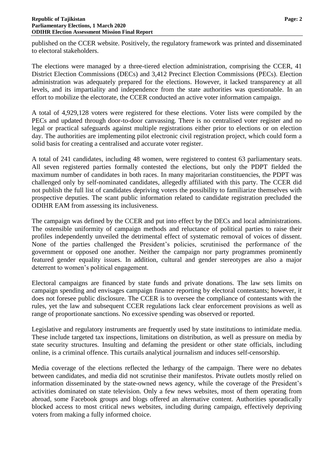published on the CCER website. Positively, the regulatory framework was printed and disseminated to electoral stakeholders.

The elections were managed by a three-tiered election administration, comprising the CCER, 41 District Election Commissions (DECs) and 3,412 Precinct Election Commissions (PECs). Election administration was adequately prepared for the elections. However, it lacked transparency at all levels, and its impartiality and independence from the state authorities was questionable. In an effort to mobilize the electorate, the CCER conducted an active voter information campaign.

A total of 4,929,128 voters were registered for these elections. Voter lists were compiled by the PECs and updated through door-to-door canvassing. There is no centralised voter register and no legal or practical safeguards against multiple registrations either prior to elections or on election day. The authorities are implementing pilot electronic civil registration project, which could form a solid basis for creating a centralised and accurate voter register.

A total of 241 candidates, including 48 women, were registered to contest 63 parliamentary seats. All seven registered parties formally contested the elections, but only the PDPT fielded the maximum number of candidates in both races. In many majoritarian constituencies, the PDPT was challenged only by self-nominated candidates, allegedly affiliated with this party. The CCER did not publish the full list of candidates depriving voters the possibility to familiarize themselves with prospective deputies. The scant public information related to candidate registration precluded the ODIHR EAM from assessing its inclusiveness.

The campaign was defined by the CCER and put into effect by the DECs and local administrations. The ostensible uniformity of campaign methods and reluctance of political parties to raise their profiles independently unveiled the detrimental effect of systematic removal of voices of dissent. None of the parties challenged the President's policies, scrutinised the performance of the government or opposed one another. Neither the campaign nor party programmes prominently featured gender equality issues. In addition, cultural and gender stereotypes are also a major deterrent to women's political engagement.

Electoral campaigns are financed by state funds and private donations. The law sets limits on campaign spending and envisages campaign finance reporting by electoral contestants; however, it does not foresee public disclosure. The CCER is to oversee the compliance of contestants with the rules, yet the law and subsequent CCER regulations lack clear enforcement provisions as well as range of proportionate sanctions. No excessive spending was observed or reported.

Legislative and regulatory instruments are frequently used by state institutions to intimidate media. These include targeted tax inspections, limitations on distribution, as well as pressure on media by state security structures. Insulting and defaming the president or other state officials, including online, is a criminal offence. This curtails analytical journalism and induces self-censorship.

Media coverage of the elections reflected the lethargy of the campaign. There were no debates between candidates, and media did not scrutinise their manifestos. Private outlets mostly relied on information disseminated by the state-owned news agency, while the coverage of the President's activities dominated on state television. Only a few news websites, most of them operating from abroad, some Facebook groups and blogs offered an alternative content. Authorities sporadically blocked access to most critical news websites, including during campaign, effectively depriving voters from making a fully informed choice.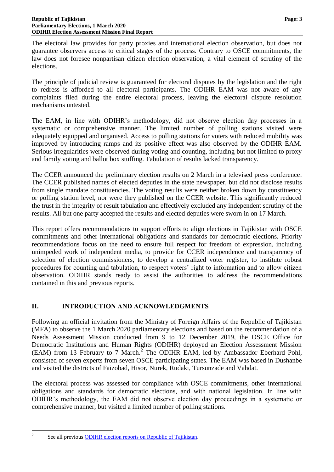The electoral law provides for party proxies and international election observation, but does not guarantee observers access to critical stages of the process. Contrary to OSCE commitments, the law does not foresee nonpartisan citizen election observation, a vital element of scrutiny of the elections.

The principle of judicial review is guaranteed for electoral disputes by the legislation and the right to redress is afforded to all electoral participants. The ODIHR EAM was not aware of any complaints filed during the entire electoral process, leaving the electoral dispute resolution mechanisms untested.

The EAM, in line with ODIHR's methodology, did not observe election day processes in a systematic or comprehensive manner. The limited number of polling stations visited were adequately equipped and organised. Access to polling stations for voters with reduced mobility was improved by introducing ramps and its positive effect was also observed by the ODIHR EAM. Serious irregularities were observed during voting and counting, including but not limited to proxy and family voting and ballot box stuffing. Tabulation of results lacked transparency.

The CCER announced the preliminary election results on 2 March in a televised press conference. The CCER published names of elected deputies in the state newspaper, but did not disclose results from single mandate constituencies. The voting results were neither broken down by constituency or polling station level, nor were they published on the CCER website. This significantly reduced the trust in the integrity of result tabulation and effectively excluded any independent scrutiny of the results. All but one party accepted the results and elected deputies were sworn in on 17 March.

This report offers recommendations to support efforts to align elections in Tajikistan with OSCE commitments and other international obligations and standards for democratic elections. Priority recommendations focus on the need to ensure full respect for freedom of expression, including unimpeded work of independent media, to provide for CCER independence and transparency of selection of election commissioners, to develop a centralized voter register, to institute robust procedures for counting and tabulation, to respect voters' right to information and to allow citizen observation. ODIHR stands ready to assist the authorities to address the recommendations contained in this and previous reports.

# <span id="page-4-0"></span>**II. INTRODUCTION AND ACKNOWLEDGMENTS**

Following an official invitation from the Ministry of Foreign Affairs of the Republic of Tajikistan (MFA) to observe the 1 March 2020 parliamentary elections and based on the recommendation of a Needs Assessment Mission conducted from 9 to 12 December 2019, the OSCE Office for Democratic Institutions and Human Rights (ODIHR) deployed an Election Assessment Mission  $(EAM)$  from 13 February to 7 March.<sup>2</sup> The ODIHR EAM, led by Ambassador Eberhard Pohl, consisted of seven experts from seven OSCE participating states. The EAM was based in Dushanbe and visited the districts of Faizobad, Hisor, Nurek, Rudaki, Tursunzade and Vahdat.

The electoral process was assessed for compliance with OSCE commitments, other international obligations and standards for democratic elections, and with national legislation. In line with ODIHR's methodology, the EAM did not observe election day proceedings in a systematic or comprehensive manner, but visited a limited number of polling stations.

 $\frac{1}{2}$ 

See all previous [ODIHR election reports on Republic of Tajikistan.](https://www.osce.org/odihr/elections/tajikistan)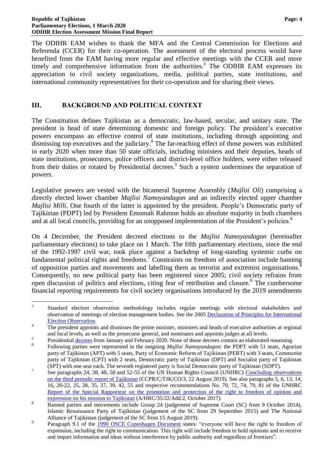The ODIHR EAM wishes to thank the MFA and the Central Commission for Elections and Referenda (CCER) for their co-operation. The assessment of the electoral process would have benefited from the EAM having more regular and effective meetings with the CCER and more timely and comprehensive information from the authorities.<sup>3</sup> The ODIHR EAM expresses its appreciation to civil society organizations, media, political parties, state institutions, and international community representatives for their co-operation and for sharing their views.

# <span id="page-5-0"></span>**III. BACKGROUND AND POLITICAL CONTEXT**

The Constitution defines Tajikistan as a democratic, law-based, secular, and unitary state. The president is head of state determining domestic and foreign policy. The president's executive powers encompass an effective control of state institutions, including through appointing and dismissing top executives and the judiciary.<sup>4</sup> The far-reaching effect of those powers was exhibited in early 2020 when more than 50 state officials, including ministers and their deputies, heads of state institutions, prosecutors, police officers and district-level office holders, were either released from their duties or rotated by Presidential decrees.<sup>5</sup> Such a system undermines the separation of powers.

Legislative powers are vested with the bicameral Supreme Assembly (*Majlisi Oli*) comprising a directly elected lower chamber *Majlisi Namoyandagon* and an indirectly elected upper chamber *Majlisi Milli.* One fourth of the latter is appointed by the president. People's Democratic party of Tajikistan (PDPT) led by President Emomali Rahmon holds an absolute majority in both chambers and at all local councils, providing for an unopposed implementation of the President's policies.<sup>6</sup>

On 4 December, the President decreed elections to the *Majlisi Namoyandagon* (hereinafter parliamentary elections) to take place on 1 March. The fifth parliamentary elections, since the end of the 1992-1997 civil war, took place against a backdrop of long-standing systemic curbs on fundamental political rights and freedoms.<sup>7</sup> Constraints on freedom of association include banning of opposition parties and movements and labelling them as terrorist and extremist organisations.<sup>8</sup> Consequently, no new political party has been registered since 2005; civil society refrains from open discussion of politics and elections, citing fear of retribution and closure. 9 The cumbersome financial reporting requirements for civil society organisations introduced by the 2019 amendments

<sup>&</sup>lt;sup>2</sup><br>3 Standard election observation methodology includes regular meetings with electoral stakeholders and observation of meetings of election management bodies. See the 2005 [Declaration of Principles for International](https://www.osce.org/odihr/16935?download=true)  [Election Observation.](https://www.osce.org/odihr/16935?download=true)

<sup>&</sup>lt;sup>4</sup> The president appoints and dismisses the prime minister, ministers and heads of executive authorities at regional and local levels, as well as the prosecutor general, and nominates and appoints judges at all levels. 5

Presidential [decrees](http://www.president.tj/ru/node/8112?page=2) from January and February 2020. None of those decrees contain an elaborated reasoning.

<sup>6</sup> Following parties were represented in the outgoing *Majlisi Namoyandagon*: the PDPT with 51 seats, Agrarian party of Tajikistan (APT) with 5 seats, Party of Economic Reform of Tajikistan (PERT) with 3 seats, Communist party of Tajikistan (CPT) with 2 seats, Democratic party of Tajikistan (DPT) and Socialist party of Tajikistan (SPT) with one seat each. The seventh registered party is Social Democratic party of Tajikistan (SDPT).

<sup>7</sup> See paragraphs 24, 38, 48, 50 and 52-55 of the UN Human Rights Council (UNHRC) [Concluding observations](https://www.ohchr.org/EN/Countries/ENACARegion/Pages/TJIndex.aspx)  [on the third periodic report of Tajikistan](https://www.ohchr.org/EN/Countries/ENACARegion/Pages/TJIndex.aspx) (CCPR/C/TJK/CO/3, 22 August 2019). See also paragraphs 5, 6, 13, 14, 16, 20-22, 25, 28, 35, 37, 39, 42, 55 and respective recommendations No. 70, 72, 74, 79, 81 of the UNHRC [Report of the Special Rapporteur on the promotion and](https://undocs.org/en/A/HRC/35/22/Add.2) protection of the right to freedom of opinion and [expression on his mission to Tajikistan](https://undocs.org/en/A/HRC/35/22/Add.2) (A/HRC/35/22/Add.2, October 2017).

<sup>8</sup> Banned parties and movements include Group 24 (judgement of Supreme Court (SC) from 9 October 2014), Islamic Renaissance Party of Tajikistan (judgement of the SC from 29 September 2015) and The National Alliance of Tajikistan (judgement of the SC from 15 August 2019).

 $\alpha$ Paragraph 9.1 of the [1990 OSCE Copenhagen Document](https://www.osce.org/odihr/elections/14304?download=true) states: "everyone will have the right to freedom of expression, including the right to communication. This right will include freedom to hold opinions and to receive and impart information and ideas without interference by public authority and regardless of frontiers".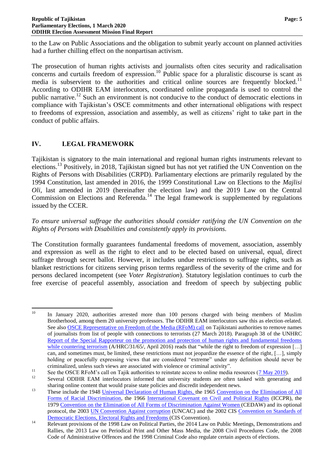to the Law on Public Associations and the obligation to submit yearly account on planned activities had a further chilling effect on the nonpartisan activism.

The prosecution of human rights activists and journalists often cites security and radicalisation concerns and curtails freedom of expression.<sup>10</sup> Public space for a pluralistic discourse is scant as media is subservient to the authorities and critical online sources are frequently blocked.<sup>11</sup> According to ODIHR EAM interlocutors, coordinated online propaganda is used to control the public narrative.<sup>12</sup> Such an environment is not conducive to the conduct of democratic elections in compliance with Tajikistan's OSCE commitments and other international obligations with respect to freedoms of expression, association and assembly, as well as citizens' right to take part in the conduct of public affairs.

# <span id="page-6-0"></span>**IV. LEGAL FRAMEWORK**

Tajikistan is signatory to the main international and regional human rights instruments relevant to elections.<sup>13</sup> Positively, in 2018, Tajikistan signed but has not yet ratified the UN Convention on the Rights of Persons with Disabilities (CRPD). Parliamentary elections are primarily regulated by the 1994 Constitution, last amended in 2016, the 1999 Constitutional Law on Elections to the *Majlisi Oli*, last amended in 2019 (hereinafter the election law) and the 2019 Law on the Central Commission on Elections and Referenda.<sup>14</sup> The legal framework is supplemented by regulations issued by the CCER.

*To ensure universal suffrage the authorities should consider ratifying the UN Convention on the Rights of Persons with Disabilities and consistently apply its provisions.*

The Constitution formally guarantees fundamental freedoms of movement, association, assembly and expression as well as the right to elect and to be elected based on universal, equal, direct suffrage through secret ballot. However, it includes undue restrictions to suffrage rights, such as blanket restrictions for citizens serving prison terms regardless of the severity of the crime and for persons declared incompetent (see *Voter Registration*). Statutory legislation continues to curb the free exercise of peaceful assembly, association and freedom of speech by subjecting public

<sup>10</sup> <sup>10</sup> In January 2020, authorities arrested more than 100 persons charged with being members of Muslim Brotherhood, among them 20 university professors. The ODIHR EAM interlocutors saw this as election-related. See also [OSCE Representative on Freedom of the Media \(RFoM\) call](https://www.osce.org/representative-on-freedom-of-media/376369) on Tajikistani authorities to remove names of journalists from list of people with connections to terrorists (27 March 2018). Paragraph 38 of the UNHRC [Report of the Special Rapporteur on the promotion and protection of human rights and fundamental freedoms](https://undocs.org/A/HRC/31/65)  [while countering terrorism](https://undocs.org/A/HRC/31/65) (A/HRC/31/65/, April 2016) reads that "while the right to freedom of expression [...] can, and sometimes must, be limited, these restrictions must not jeopardize the essence of the right, […], simply holding or peacefully expressing views that are considered "extreme" under any definition should never be criminalized, unless such views are associated with violence or criminal activity".

<sup>&</sup>lt;sup>11</sup> See the OSCE RFoM's call on Tajik authorities to reinstate access to online media resources (<u>7 May 2019</u>).<br><sup>12</sup> Several ODUID EAM interleavings informed that university students are often tooled with generating

Several ODIHR EAM interlocutors informed that university students are often tasked with generating and sharing online content that would praise state policies and discredit independent news.

<sup>&</sup>lt;sup>13</sup> These include the 1948 [Universal Declaration of Human Rights,](https://www.un.org/en/universal-declaration-human-rights/) the 1965 Convention on the Elimination of All [Forms of Racial Discrimination,](https://www.ohchr.org/en/professionalinterest/pages/cerd.aspx) the 1966 [International Covenant on Civil and Political Rights](https://www.ohchr.org/en/professionalinterest/pages/ccpr.aspx) (ICCPR), the 1979 [Convention on the Elimination of All Forms of Discrimination Against Women \(](https://www.ohchr.org/en/professionalinterest/pages/cedaw.aspx)CEDAW) and its optional protocol, the 2003 [UN Convention Against corruption](https://www.unodc.org/unodc/en/corruption/uncac.html) (UNCAC) and the 2002 CIS [Convention on Standards of](https://www.venice.coe.int/webforms/documents/default.aspx?pdffile=CDL-EL(2006)031rev-e)  [Democratic Elections, Electoral Rights and Freedoms](https://www.venice.coe.int/webforms/documents/default.aspx?pdffile=CDL-EL(2006)031rev-e) (CIS Convention).

<sup>&</sup>lt;sup>14</sup> Relevant provisions of the 1998 Law on Political Parties, the 2014 Law on Public Meetings, Demonstrations and Rallies, the 2013 Law on Periodical Print and Other Mass Media, the 2008 Civil Procedures Code, the 2008 Code of Administrative Offences and the 1998 Criminal Code also regulate certain aspects of elections.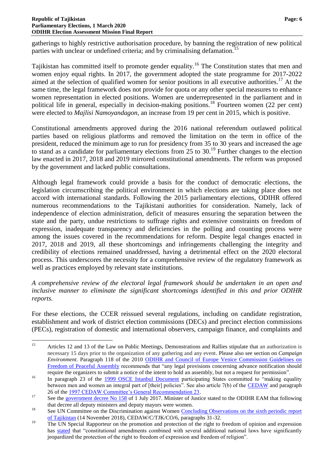gatherings to highly restrictive authorisation procedure, by banning the registration of new political parties with unclear or undefined criteria; and by criminalising defamation.<sup>15</sup>

Tajikistan has committed itself to promote gender equality.<sup>16</sup> The Constitution states that men and women enjoy equal rights. In 2017, the government adopted the state programme for 2017-2022 aimed at the selection of qualified women for senior positions in all executive authorities. <sup>17</sup> At the same time, the legal framework does not provide for quota or any other special measures to enhance women representation in elected positions. Women are underrepresented in the parliament and in political life in general, especially in decision-making positions.<sup>18</sup> Fourteen women (22 per cent) were elected to *Majlisi Namoyandagon*, an increase from 19 per cent in 2015, which is positive.

Constitutional amendments approved during the 2016 national referendum outlawed political parties based on religious platforms and removed the limitation on the term in office of the president, reduced the minimum age to run for presidency from 35 to 30 years and increased the age to stand as a candidate for parliamentary elections from 25 to 30.<sup>19</sup> Further changes to the election law enacted in 2017, 2018 and 2019 mirrored constitutional amendments. The reform was proposed by the government and lacked public consultations.

Although legal framework could provide a basis for the conduct of democratic elections, the legislation circumscribing the political environment in which elections are taking place does not accord with international standards. Following the 2015 parliamentary elections, ODIHR offered numerous recommendations to the Tajikistani authorities for consideration. Namely, lack of independence of election administration, deficit of measures ensuring the separation between the state and the party, undue restrictions to suffrage rights and extensive constraints on freedom of expression, inadequate transparency and deficiencies in the polling and counting process were among the issues covered in the recommendations for reform. Despite legal changes enacted in 2017, 2018 and 2019, all these shortcomings and infringements challenging the integrity and credibility of elections remained unaddressed, having a detrimental effect on the 2020 electoral process. This underscores the necessity for a comprehensive review of the regulatory framework as well as practices employed by relevant state institutions.

*A comprehensive review of the electoral legal framework should be undertaken in an open and inclusive manner to eliminate the significant shortcomings identified in this and prior ODIHR reports.*

For these elections, the CCER reissued several regulations, including on candidate registration, establishment and work of district election commissions (DECs) and precinct election commissions (PECs), registration of domestic and international observers, campaign finance, and complaints and

 $15$ <sup>15</sup> Articles 12 and 13 of the Law on Public Meetings, Demonstrations and Rallies stipulate that an authorization is necessary 15 days prior to the organization of any gathering and any event. Please also see section on *Campaign Environment*. Paragraph 118 of the 2010 [ODIHR and Council of Europe Venice Commission Guidelines on](https://www.osce.org/odihr/73405?download=true)  [Freedom of Peaceful Assembly](https://www.osce.org/odihr/73405?download=true) recommends that "any legal provisions concerning advance notification should require the organizers to submit a notice of the intent to hold an assembly, but not a request for permission".

<sup>&</sup>lt;sup>16</sup> In paragraph 23 of the [1999 OSCE Istanbul Document](https://www.osce.org/mc/39569?download=true) participating States committed to "making equality" between men and women an integral part of [their] policies". See also article 7(b) of the [CEDAW](https://www.ohchr.org/en/professionalinterest/pages/cedaw.aspx) and paragraph 26 of the [1997 CEDAW Committee's General Recommendation 23.](https://www.refworld.org/docid/453882a622.html)

<sup>&</sup>lt;sup>17</sup> See the [government decree No 158](http://www.adlia.tj/show_doc.fwx?rgn=128972) of 1 July 2017. Minister of Justice stated to the ODIHR EAM that following that decree all deputy ministers and deputy mayors were women.

<sup>&</sup>lt;sup>18</sup> See UN Committee on the Discrimination against Women Concluding Observations on the sixth periodic report [of Tajikistan](http://docstore.ohchr.org/SelfServices/FilesHandler.ashx?enc=6QkG1d%2fPPRiCAqhKb7yhsqWC9Lj7ub%2fHrJVf1GxZMHEKIgEy3EV5MKcAXsLQp5PD%2f8ImKYnx5c5kZmLuDnLTgSAlT6y0SSbvstiO0QCI3CeUoLxhiRKPuMH6Ge%2fXu2wp) (14 November 2018), CEDAW/C/TJK/CO/6, paragraphs 31-32.

<sup>&</sup>lt;sup>19</sup> The UN Special Rapporteur on the promotion and protection of the right to freedom of opinion and expression has [stated](https://undocs.org/en/A/HRC/35/22/Add.2) that "constitutional amendments combined with several additional national laws have significantly jeopardized the protection of the right to freedom of expression and freedom of religion".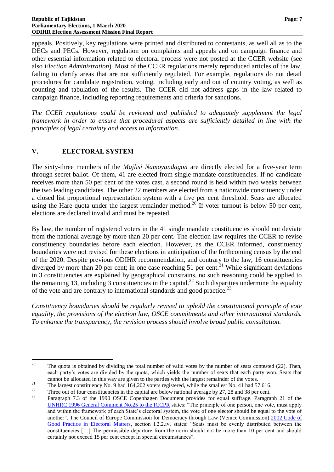appeals. Positively, key regulations were printed and distributed to contestants, as well all as to the DECs and PECs. However, regulation on complaints and appeals and on campaign finance and other essential information related to electoral process were not posted at the CCER website (see also *Election Administration*). Most of the CCER regulations merely reproduced articles of the law, failing to clarify areas that are not sufficiently regulated. For example, regulations do not detail procedures for candidate registration, voting, including early and out of country voting, as well as counting and tabulation of the results. The CCER did not address gaps in the law related to campaign finance, including reporting requirements and criteria for sanctions.

*The CCER regulations could be reviewed and published to adequately supplement the legal framework in order to ensure that procedural aspects are sufficiently detailed in line with the principles of legal certainty and access to information.*

# <span id="page-8-0"></span>**V. ELECTORAL SYSTEM**

The sixty-three members of the *Majlisi Namoyandagon* are directly elected for a five-year term through secret ballot. Of them, 41 are elected from single mandate constituencies. If no candidate receives more than 50 per cent of the votes cast, a second round is held within two weeks between the two leading candidates. The other 22 members are elected from a nationwide constituency under a closed list proportional representation system with a five per cent threshold. Seats are allocated using the Hare quota under the largest remainder method.<sup>20</sup> If voter turnout is below 50 per cent, elections are declared invalid and must be repeated.

By law, the number of registered voters in the 41 single mandate constituencies should not deviate from the national average by more than 20 per cent. The election law requires the CCER to revise constituency boundaries before each election. However, as the CCER informed, constituency boundaries were not revised for these elections in anticipation of the forthcoming census by the end of the 2020. Despite previous ODIHR recommendation, and contrary to the law, 16 constituencies diverged by more than 20 per cent; in one case reaching 51 per cent.<sup>21</sup> While significant deviations in 3 constituencies are explained by geographical constrains, no such reasoning could be applied to the remaining 13, including 3 constituencies in the capital.<sup>22</sup> Such disparities undermine the equality of the vote and are contrary to international standards and good practice.<sup>23</sup>

*Constituency boundaries should be regularly revised to uphold the constitutional principle of vote equality, the provisions of the election law, OSCE commitments and other international standards. To enhance the transparency, the revision process should involve broad public consultation.*

 $20$ The quota is obtained by dividing the total number of valid votes by the number of seats contested (22). Then, each party's votes are divided by the quota, which yields the number of seats that each party won. Seats that cannot be allocated in this way are given to the parties with the largest remainder of the votes.

<sup>&</sup>lt;sup>21</sup><br>The largest constituency No. 9 had 164,202 voters registered, while the smallest No. 41 had 57,616.<br>These set of four positionalism in the smallest non-timentianal purpose in 27, 28 and 28 parcent.

<sup>&</sup>lt;sup>22</sup> Three out of four constituencies in the capital are below national average by 27, 28 and 38 per cent.<br><sup>23</sup> Degeneral  $\frac{72}{3}$  of the 1000 OSCE Congribes per Degument provides for equal outfress. Persons

Paragraph 7.3 of the 1990 OSCE Copenhagen Document provides for equal suffrage. Paragraph 21 of the [UNHRC 1996 General Comment No.25 to the ICCPR](https://tbinternet.ohchr.org/_layouts/15/treatybodyexternal/Download.aspx?symbolno=CCPR%2fC%2f21%2fRev.1%2fAdd.7&Lang=en) states: "The principle of one person, one vote, must apply and within the framework of each State's electoral system, the vote of one elector should be equal to the vote of another". The Council of Europe Commission for Democracy through Law (Venice Commission) [2002 Code of](https://www.venice.coe.int/webforms/documents/default.aspx?pdffile=CDL-AD(2002)023rev2-cor-e)  [Good Practice in Electoral Matters,](https://www.venice.coe.int/webforms/documents/default.aspx?pdffile=CDL-AD(2002)023rev2-cor-e) section I.2.2.iv, states: "Seats must be evenly distributed between the constituencies […] The permissible departure from the norm should not be more than 10 per cent and should certainly not exceed 15 per cent except in special circumstances".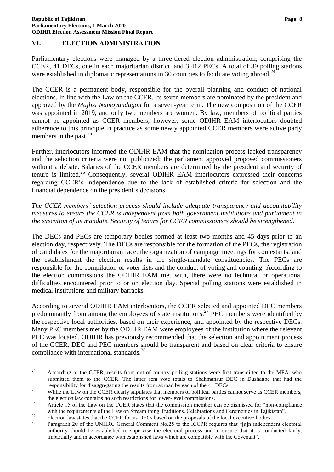# <span id="page-9-0"></span>**VI. ELECTION ADMINISTRATION**

Parliamentary elections were managed by a three-tiered election administration, comprising the CCER, 41 DECs, one in each majoritarian district, and 3,412 PECs. A total of 39 polling stations were established in diplomatic representations in 30 countries to facilitate voting abroad.<sup>24</sup>

The CCER is a permanent body, responsible for the overall planning and conduct of national elections. In line with the Law on the CCER, its seven members are nominated by the president and approved by the *Majlisi Namoyandagon* for a seven-year term. The new composition of the CCER was appointed in 2019, and only two members are women. By law, members of political parties cannot be appointed as CCER members; however, some ODIHR EAM interlocutors doubted adherence to this principle in practice as some newly appointed CCER members were active party members in the past.<sup>25</sup>

Further, interlocutors informed the ODIHR EAM that the nomination process lacked transparency and the selection criteria were not publicized; the parliament approved proposed commissioners without a debate. Salaries of the CCER members are determined by the president and security of tenure is limited.<sup>26</sup> Consequently, several ODIHR EAM interlocutors expressed their concerns regarding CCER's independence due to the lack of established criteria for selection and the financial dependence on the president's decisions.

*The CCER members' selection process should include adequate transparency and accountability measures to ensure the CCER is independent from both government institutions and parliament in the execution of its mandate. Security of tenure for CCER commissioners should be strengthened.*

The DECs and PECs are temporary bodies formed at least two months and 45 days prior to an election day, respectively. The DECs are responsible for the formation of the PECs, the registration of candidates for the majoritarian race, the organization of campaign meetings for contestants, and the establishment the election results in the single-mandate constituencies. The PECs are responsible for the compilation of voter lists and the conduct of voting and counting. According to the election commissions the ODIHR EAM met with, there were no technical or operational difficulties encountered prior to or on election day. Special polling stations were established in medical institutions and military barracks.

According to several ODIHR EAM interlocutors, the CCER selected and appointed DEC members predominantly from among the employees of state institutions.<sup>27</sup> PEC members were identified by the respective local authorities, based on their experience, and appointed by the respective DECs. Many PEC members met by the ODIHR EAM were employees of the institution where the relevant PEC was located. ODIHR has previously recommended that the selection and appointment process of the CCER, DEC and PEC members should be transparent and based on clear criteria to ensure compliance with international standards.<sup>28</sup>

 $24\,$ <sup>24</sup> According to the CCER, results from out-of-country polling stations were first transmitted to the MFA, who submitted them to the CCER. The latter sent vote totals to Shahmansur DEC in Dushanbe that had the responsibility for disaggregating the results from abroad by each of the 41 DECs.

<sup>&</sup>lt;sup>25</sup> While the Law on the CCER clearly stipulates that members of political parties cannot serve as CCER members, the election law contains no such restrictions for lower-level commissions.

<sup>&</sup>lt;sup>26</sup> Article 15 of the Law on the CCER states that the commission member can be dismissed for "non-compliance" with the requirements of the Law on Streamlining Traditions, Celebrations and Ceremonies in Tajikistan".

<sup>&</sup>lt;sup>27</sup> Election law states that the CCER forms DECs based on the proposals of the local executive bodies.

Paragraph 20 of the UNHRC General Comment No.25 to the ICCPR requires that "[a]n independent electoral authority should be established to supervise the electoral process and to ensure that it is conducted fairly, impartially and in accordance with established laws which are compatible with the Covenant".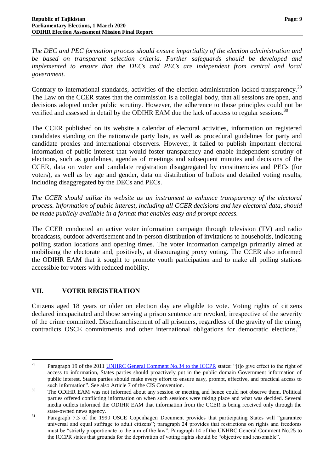*The DEC and PEC formation process should ensure impartiality of the election administration and be based on transparent selection criteria. Further safeguards should be developed and implemented to ensure that the DECs and PECs are independent from central and local government.*

Contrary to international standards, activities of the election administration lacked transparency.<sup>29</sup> The Law on the CCER states that the commission is a collegial body, that all sessions are open, and decisions adopted under public scrutiny. However, the adherence to those principles could not be verified and assessed in detail by the ODIHR EAM due the lack of access to regular sessions.<sup>30</sup>

The CCER published on its website a calendar of electoral activities, information on registered candidates standing on the nationwide party lists, as well as procedural guidelines for party and candidate proxies and international observers. However, it failed to publish important electoral information of public interest that would foster transparency and enable independent scrutiny of elections, such as guidelines, agendas of meetings and subsequent minutes and decisions of the CCER, data on voter and candidate registration disaggregated by constituencies and PECs (for voters), as well as by age and gender, data on distribution of ballots and detailed voting results, including disaggregated by the DECs and PECs.

*The CCER should utilize its website as an instrument to enhance transparency of the electoral process. Information of public interest, including all CCER decisions and key electoral data, should be made publicly available in a format that enables easy and prompt access.*

The CCER conducted an active voter information campaign through television (TV) and radio broadcasts, outdoor advertisement and in-person distribution of invitations to households, indicating polling station locations and opening times. The voter information campaign primarily aimed at mobilising the electorate and, positively, at discouraging proxy voting. The CCER also informed the ODIHR EAM that it sought to promote youth participation and to make all polling stations accessible for voters with reduced mobility.

# <span id="page-10-0"></span>**VII. VOTER REGISTRATION**

Citizens aged 18 years or older on election day are eligible to vote. Voting rights of citizens declared incapacitated and those serving a prison sentence are revoked, irrespective of the severity of the crime committed. Disenfranchisement of all prisoners, regardless of the gravity of the crime, contradicts OSCE commitments and other international obligations for democratic elections.<sup>31</sup>

 $29$ Paragraph 19 of the 2011 [UNHRC General Comment No.34 to the ICCPR](https://tbinternet.ohchr.org/_layouts/15/treatybodyexternal/Download.aspx?symbolno=CCPR%2fC%2fGC%2f34&Lang=en) states: "[t]o give effect to the right of access to information, States parties should proactively put in the public domain Government information of public interest. States parties should make every effort to ensure easy, prompt, effective, and practical access to such information". See also Article 7 of the CIS Convention.

<sup>&</sup>lt;sup>30</sup> The ODIHR EAM was not informed about any session or meeting and hence could not observe them. Political parties offered conflicting information on when such sessions were taking place and what was decided. Several media outlets informed the ODIHR EAM that information from the CCER is being received only through the state-owned news agency.

<sup>&</sup>lt;sup>31</sup> Paragraph 7.3 of the 1990 OSCE Copenhagen Document provides that participating States will "guarantee" universal and equal suffrage to adult citizens"; paragraph 24 provides that restrictions on rights and freedoms must be "strictly proportionate to the aim of the law". Paragraph 14 of the UNHRC General Comment No.25 to the ICCPR states that grounds for the deprivation of voting rights should be "objective and reasonable".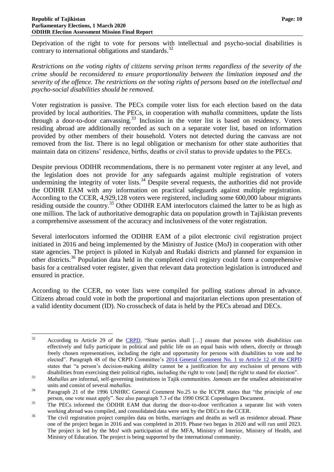Deprivation of the right to vote for persons with intellectual and psycho-social disabilities is contrary to international obligations and standards.<sup>32</sup>

*Restrictions on the voting rights of citizens serving prison terms regardless of the severity of the crime should be reconsidered to ensure proportionality between the limitation imposed and the severity of the offence. The restrictions on the voting rights of persons based on the intellectual and psycho-social disabilities should be removed.*

Voter registration is passive. The PECs compile voter lists for each election based on the data provided by local authorities. The PECs, in cooperation with *mahalla* committees, update the lists through a door-to-door canvassing.<sup>33</sup> Inclusion in the voter list is based on residency. Voters residing abroad are additionally recorded as such on a separate voter list, based on information provided by other members of their household. Voters not detected during the canvass are not removed from the list. There is no legal obligation or mechanism for other state authorities that maintain data on citizens' residence, births, deaths or civil status to provide updates to the PECs.

Despite previous ODIHR recommendations, there is no permanent voter register at any level, and the legislation does not provide for any safeguards against multiple registration of voters undermining the integrity of voter lists.<sup>34</sup> Despite several requests, the authorities did not provide the ODIHR EAM with any information on practical safeguards against multiple registration. According to the CCER, 4,929,128 voters were registered, including some 600,000 labour migrants residing outside the country.<sup>35</sup> Other ODIHR EAM interlocutors claimed the latter to be as high as one million. The lack of authoritative demographic data on population growth in Tajikistan prevents a comprehensive assessment of the accuracy and inclusiveness of the voter registration.

Several interlocutors informed the ODIHR EAM of a pilot electronic civil registration project initiated in 2016 and being implemented by the Ministry of Justice (MoJ) in cooperation with other state agencies. The project is piloted in Kulyab and Rudaki districts and planned for expansion in other districts.<sup>36</sup> Population data held in the completed civil registry could form a comprehensive basis for a centralised voter register, given that relevant data protection legislation is introduced and ensured in practice.

According to the CCER, no voter lists were compiled for polling stations abroad in advance. Citizens abroad could vote in both the proportional and majoritarian elections upon presentation of a valid identity document (ID). No crosscheck of data is held by the PECs abroad and DECs.

<sup>32</sup> According to Article 29 of the [CRPD,](https://www.un.org/disabilities/documents/convention/convoptprot-e.pdf) "State parties shall [...] ensure that persons with disabilities can effectively and fully participate in political and public life on an equal basis with others, directly or through freely chosen representatives, including the right and opportunity for persons with disabilities to vote and be elected". Paragraph 48 of the CRPD Committee's [2014 General Comment No. 1 to Article 12 of the CRPD](https://documents-dds-ny.un.org/doc/UNDOC/GEN/G14/031/20/PDF/G1403120.pdf?OpenElement) states that "a person's decision-making ability cannot be a justification for any exclusion of persons with disabilities from exercising their political rights, including the right to vote [and] the right to stand for election".

<sup>33</sup> *Mahallas* are informal, self-governing institutions in Tajik communities. *Jamoats* are the smallest administrative units and consist of several *mahallas.*

<sup>&</sup>lt;sup>34</sup> Paragraph 21 of the 1996 UNHRC General Comment No.25 to the ICCPR states that "the principle of one person, one vote must apply". See also paragraph 7.3 of the 1990 OSCE Copenhagen Document.

<sup>&</sup>lt;sup>35</sup> The PECs informed the ODIHR EAM that during the door-to-door verification a separate list with voters working abroad was compiled, and consolidated data were sent by the DECs to the CCER.

<sup>&</sup>lt;sup>36</sup> The civil registration project compiles data on births, marriages and deaths as well as residence abroad. Phase one of the project began in 2016 and was completed in 2019. Phase two began in 2020 and will run until 2023. The project is led by the MoJ with participation of the MFA, Ministry of Interior, Ministry of Health, and Ministry of Education. The project is being supported by the international community.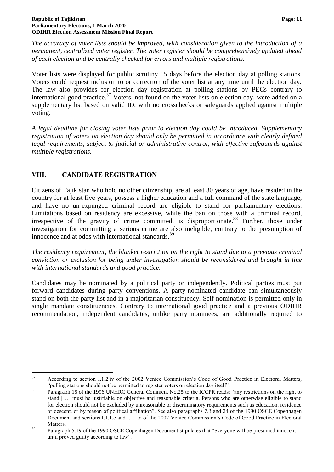*The accuracy of voter lists should be improved, with consideration given to the introduction of a permanent, centralized voter register. The voter register should be comprehensively updated ahead of each election and be centrally checked for errors and multiple registrations.*

Voter lists were displayed for public scrutiny 15 days before the election day at polling stations. Voters could request inclusion to or correction of the voter list at any time until the election day. The law also provides for election day registration at polling stations by PECs contrary to international good practice.<sup>37</sup> Voters, not found on the voter lists on election day, were added on a supplementary list based on valid ID, with no crosschecks or safeguards applied against multiple voting.

*A legal deadline for closing voter lists prior to election day could be introduced. Supplementary registration of voters on election day should only be permitted in accordance with clearly defined legal requirements, subject to judicial or administrative control, with effective safeguards against multiple registrations.*

# <span id="page-12-0"></span>**VIII. CANDIDATE REGISTRATION**

Citizens of Tajikistan who hold no other citizenship, are at least 30 years of age, have resided in the country for at least five years, possess a higher education and a full command of the state language, and have no un-expunged criminal record are eligible to stand for parliamentary elections. Limitations based on residency are excessive, while the ban on those with a criminal record, irrespective of the gravity of crime committed, is disproportionate.<sup>38</sup> Further, those under investigation for committing a serious crime are also ineligible, contrary to the presumption of innocence and at odds with international standards.<sup>39</sup>

*The residency requirement, the blanket restriction on the right to stand due to a previous criminal conviction or exclusion for being under investigation should be reconsidered and brought in line with international standards and good practice.*

Candidates may be nominated by a political party or independently. Political parties must put forward candidates during party conventions. A party-nominated candidate can simultaneously stand on both the party list and in a majoritarian constituency. Self-nomination is permitted only in single mandate constituencies. Contrary to international good practice and a previous ODIHR recommendation, independent candidates, unlike party nominees, are additionally required to

<sup>37</sup> According to section I.1.2.iv of the 2002 Venice Commission's Code of Good Practice in Electoral Matters, "polling stations should not be permitted to register voters on election day itself".

<sup>&</sup>lt;sup>38</sup><br>Paragraph 15 of the 1996 UNHRC General Comment No.25 to the ICCPR reads: "any restrictions on the right to stand […] must be justifiable on objective and reasonable criteria. Persons who are otherwise eligible to stand for election should not be excluded by unreasonable or discriminatory requirements such as education, residence or descent, or by reason of political affiliation". See also paragraphs 7.3 and 24 of the 1990 OSCE Copenhagen Document and sections I.1.1.c and I.1.1.d of the 2002 Venice Commission's Code of Good Practice in Electoral Matters.

<sup>&</sup>lt;sup>39</sup> Paragraph 5.19 of the 1990 OSCE Copenhagen Document stipulates that "everyone will be presumed innocent until proved guilty according to law".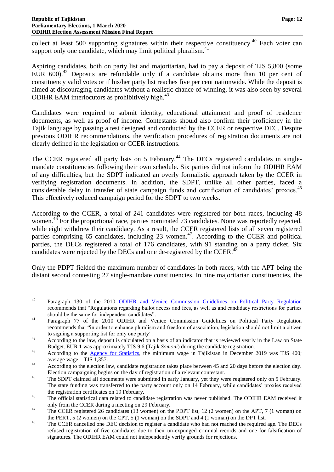collect at least 500 supporting signatures within their respective constituency.<sup>40</sup> Each voter can support only one candidate, which may limit political pluralism.<sup>41</sup>

Aspiring candidates, both on party list and majoritarian, had to pay a deposit of TJS 5,800 (some EUR  $600$ .<sup>42</sup> Deposits are refundable only if a candidate obtains more than 10 per cent of constituency valid votes or if his/her party list reaches five per cent nationwide. While the deposit is aimed at discouraging candidates without a realistic chance of winning, it was also seen by several ODIHR EAM interlocutors as prohibitively high.<sup>43</sup>

Candidates were required to submit identity, educational attainment and proof of residence documents, as well as proof of income. Contestants should also confirm their proficiency in the Tajik language by passing a test designed and conducted by the CCER or respective DEC. Despite previous ODIHR recommendations, the verification procedures of registration documents are not clearly defined in the legislation or CCER instructions.

The CCER registered all party lists on 5 February.<sup>44</sup> The DECs registered candidates in singlemandate constituencies following their own schedule. Six parties did not inform the ODIHR EAM of any difficulties, but the SDPT indicated an overly formalistic approach taken by the CCER in verifying registration documents. In addition, the SDPT, unlike all other parties, faced a considerable delay in transfer of state campaign funds and certification of candidates' proxies.<sup>45</sup> This effectively reduced campaign period for the SDPT to two weeks.

According to the CCER, a total of 241 candidates were registered for both races, including 48 women.<sup>46</sup> For the proportional race, parties nominated 73 candidates. None was reportedly rejected, while eight withdrew their candidacy. As a result, the CCER registered lists of all seven registered parties comprising 65 candidates, including 23 women.<sup>47</sup>. According to the CCER and political parties, the DECs registered a total of 176 candidates, with 91 standing on a party ticket. Six candidates were rejected by the DECs and one de-registered by the CCER.<sup>48</sup>

Only the PDPT fielded the maximum number of candidates in both races, with the APT being the distant second contesting 27 single-mandate constituencies. In nine majoritarian constituencies, the

 $40$ Paragraph 130 of the 2010 [ODIHR and Venice Commission Guidelines on Political Party Regulation](https://www.osce.org/odihr/77812?download=true) recommends that "Regulations regarding ballot access and fees, as well as and candidacy restrictions for parties should be the same for independent candidates".

<sup>&</sup>lt;sup>41</sup> Paragraph 77 of the 2010 ODIHR and Venice Commission Guidelines on Political Party Regulation recommends that "in order to enhance pluralism and freedom of association, legislation should not limit a citizen to signing a supporting list for only one party".

<sup>&</sup>lt;sup>42</sup> According to the law, deposit is calculated on a basis of an indicator that is reviewed yearly in the Law on State Budget. EUR 1 was approximately TJS 9.6 (Tajik *Somoni*) during the candidate registration.

<sup>&</sup>lt;sup>43</sup> According to the **Agency for Statistics**, the minimum wage in Tajikistan in December 2019 was TJS 400; average wage – TJS 1,357.

<sup>&</sup>lt;sup>44</sup> According to the election law, candidate registration takes place between 45 and 20 days before the election day. Election campaigning begins on the day of registration of a relevant contestant.

<sup>&</sup>lt;sup>45</sup> The SDPT claimed all documents were submitted in early January, yet they were registered only on 5 February. The state funding was transferred to the party account only on 14 February, while candidates' proxies received the registration certificates on 19 February.

<sup>&</sup>lt;sup>46</sup> The official statistical data related to candidate registration was never published. The ODIHR EAM received it only from the CCER during a meeting on 29 February.

<sup>&</sup>lt;sup>47</sup> The CCER registered 26 candidates (13 women) on the PDPT list, 12 (2 women) on the APT, 7 (1 woman) on the PERT, 5 (2 women) on the CPT, 5 (1 woman) on the SDPT and 4 (1 woman) on the DPT list.

<sup>&</sup>lt;sup>48</sup> The CCER cancelled one DEC decision to register a candidate who had not reached the required age. The DECs refused registration of five candidates due to their un-expunged criminal records and one for falsification of signatures. The ODIHR EAM could not independently verify grounds for rejections.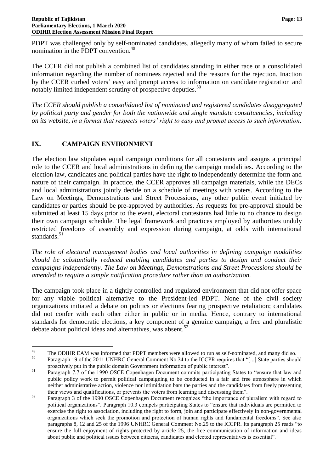PDPT was challenged only by self-nominated candidates, allegedly many of whom failed to secure nomination in the PDPT convention.<sup>49</sup>

The CCER did not publish a combined list of candidates standing in either race or a consolidated information regarding the number of nominees rejected and the reasons for the rejection. Inaction by the CCER curbed voters' easy and prompt access to information on candidate registration and notably limited independent scrutiny of prospective deputies.<sup>50</sup>

*The CCER should publish a consolidated list of nominated and registered candidates disaggregated by political party and gender for both the nationwide and single mandate constituencies, including on its website, in a format that respects voters' right to easy and prompt access to such information.*

# <span id="page-14-0"></span>**IX. CAMPAIGN ENVIRONMENT**

The election law stipulates equal campaign conditions for all contestants and assigns a principal role to the CCER and local administrations in defining the campaign modalities. According to the election law, candidates and political parties have the right to independently determine the form and nature of their campaign. In practice, the CCER approves all campaign materials, while the DECs and local administrations jointly decide on a schedule of meetings with voters. According to the Law on Meetings, Demonstrations and Street Processions, any other public event initiated by candidates or parties should be pre-approved by authorities. As requests for pre-approval should be submitted at least 15 days prior to the event, electoral contestants had little to no chance to design their own campaign schedule. The legal framework and practices employed by authorities unduly restricted freedoms of assembly and expression during campaign, at odds with international standards.<sup>51</sup>

*The role of electoral management bodies and local authorities in defining campaign modalities should be substantially reduced enabling candidates and parties to design and conduct their campaigns independently. The Law on Meetings, Demonstrations and Street Processions should be amended to require a simple notification procedure rather than an authorization.*

The campaign took place in a tightly controlled and regulated environment that did not offer space for any viable political alternative to the President-led PDPT. None of the civil society organizations initiated a debate on politics or elections fearing prospective retaliation; candidates did not confer with each other either in public or in media. Hence, contrary to international standards for democratic elections, a key component of a genuine campaign, a free and pluralistic debate about political ideas and alternatives, was absent. $52$ 

<sup>49</sup> <sup>49</sup> The ODIHR EAM was informed that PDPT members were allowed to run as self-nominated, and many did so.<br><sup>50</sup> Descarse b 10 of the 2011 UNUDG General Comment No. 24 to the IGGDB requires that "La State perties shoul <sup>50</sup> Paragraph 19 of the 2011 UNHRC General Comment No.34 to the ICCPR requires that "[...] State parties should proactively put in the public domain Government information of public interest".

<sup>&</sup>lt;sup>51</sup> Paragraph 7.7 of the 1990 OSCE Copenhagen Document commits participating States to "ensure that law and public policy work to permit political campaigning to be conducted in a fair and free atmosphere in which neither administrative action, violence nor intimidation bars the parties and the candidates from freely presenting their views and qualifications, or prevents the voters from learning and discussing them".

<sup>&</sup>lt;sup>52</sup> Paragraph 3 of the 1990 OSCE Copenhagen Document recognizes "the importance of pluralism with regard to political organizations". Paragraph 10.3 compels participating States to "ensure that individuals are permitted to exercise the right to association, including the right to form, join and participate effectively in non-governmental organizations which seek the promotion and protection of human rights and fundamental freedoms". See also paragraphs 8, 12 and 25 of the 1996 UNHRC General Comment No.25 to the ICCPR. Its paragraph 25 reads "to ensure the full enjoyment of rights protected by article 25, the free communication of information and ideas about public and political issues between citizens, candidates and elected representatives is essential".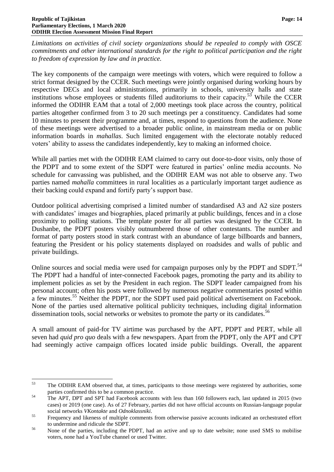*Limitations on activities of civil society organizations should be repealed to comply with OSCE commitments and other international standards for the right to political participation and the right to freedom of expression by law and in practice.*

The key components of the campaign were meetings with voters, which were required to follow a strict format designed by the CCER. Such meetings were jointly organised during working hours by respective DECs and local administrations, primarily in schools, university halls and state institutions whose employees or students filled auditoriums to their capacity.<sup>53</sup> While the CCER informed the ODIHR EAM that a total of 2,000 meetings took place across the country, political parties altogether confirmed from 3 to 20 such meetings per a constituency. Candidates had some 10 minutes to present their programme and, at times, respond to questions from the audience. None of these meetings were advertised to a broader public online, in mainstream media or on public information boards in *mahallas*. Such limited engagement with the electorate notably reduced voters' ability to assess the candidates independently, key to making an informed choice.

While all parties met with the ODIHR EAM claimed to carry out door-to-door visits, only those of the PDPT and to some extent of the SDPT were featured in parties' online media accounts. No schedule for canvassing was published, and the ODIHR EAM was not able to observe any. Two parties named *mahalla* committees in rural localities as a particularly important target audience as their backing could expand and fortify party's support base.

Outdoor political advertising comprised a limited number of standardised A3 and A2 size posters with candidates' images and biographies, placed primarily at public buildings, fences and in a close proximity to polling stations. The template poster for all parties was designed by the CCER. In Dushanbe, the PDPT posters visibly outnumbered those of other contestants. The number and format of party posters stood in stark contrast with an abundance of large billboards and banners, featuring the President or his policy statements displayed on roadsides and walls of public and private buildings.

Online sources and social media were used for campaign purposes only by the PDPT and SDPT.<sup>54</sup> The PDPT had a handful of inter-connected Facebook pages, promoting the party and its ability to implement policies as set by the President in each region. The SDPT leader campaigned from his personal account; often his posts were followed by numerous negative commentaries posted within a few minutes.<sup>55</sup> Neither the PDPT, nor the SDPT used paid political advertisement on Facebook. None of the parties used alternative political publicity techniques, including digital information dissemination tools, social networks or websites to promote the party or its candidates.<sup>56</sup>

A small amount of paid-for TV airtime was purchased by the APT, PDPT and PERT, while all seven had *quid pro quo* deals with a few newspapers. Apart from the PDPT, only the APT and CPT had seemingly active campaign offices located inside public buildings. Overall, the apparent

<sup>53</sup> The ODIHR EAM observed that, at times, participants to those meetings were registered by authorities, some parties confirmed this to be a common practice.

<sup>&</sup>lt;sup>54</sup> The APT, DPT and SPT had Facebook accounts with less than 160 followers each, last updated in 2015 (two cases) or 2019 (one case). As of 27 February, parties did not have official accounts on Russian-language popular social networks *VKontakte* and *Odnoklassniki*.

<sup>&</sup>lt;sup>55</sup> Frequency and likeness of multiple comments from otherwise passive accounts indicated an orchestrated effort to undermine and ridicule the SDPT.

<sup>56</sup> None of the parties, including the PDPT, had an active and up to date website; none used SMS to mobilise voters, none had a YouTube channel or used Twitter.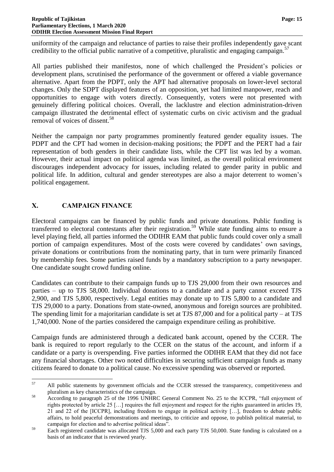uniformity of the campaign and reluctance of parties to raise their profiles independently gave scant credibility to the official public narrative of a competitive, pluralistic and engaging campaign. $57$ 

All parties published their manifestos, none of which challenged the President's policies or development plans, scrutinised the performance of the government or offered a viable governance alternative. Apart from the PDPT, only the APT had alternative proposals on lower-level sectoral changes. Only the SDPT displayed features of an opposition, yet had limited manpower, reach and opportunities to engage with voters directly. Consequently, voters were not presented with genuinely differing political choices. Overall, the lacklustre and election administration-driven campaign illustrated the detrimental effect of systematic curbs on civic activism and the gradual removal of voices of dissent.<sup>58</sup>

Neither the campaign nor party programmes prominently featured gender equality issues. The PDPT and the CPT had women in decision-making positions; the PDPT and the PERT had a fair representation of both genders in their candidate lists, while the CPT list was led by a woman. However, their actual impact on political agenda was limited, as the overall political environment discourages independent advocacy for issues, including related to gender parity in public and political life. In addition, cultural and gender stereotypes are also a major deterrent to women's political engagement.

# <span id="page-16-0"></span>**X. CAMPAIGN FINANCE**

Electoral campaigns can be financed by public funds and private donations. Public funding is transferred to electoral contestants after their registration.<sup>59</sup> While state funding aims to ensure a level playing field, all parties informed the ODIHR EAM that public funds could cover only a small portion of campaign expenditures. Most of the costs were covered by candidates' own savings, private donations or contributions from the nominating party, that in turn were primarily financed by membership fees. Some parties raised funds by a mandatory subscription to a party newspaper. One candidate sought crowd funding online.

Candidates can contribute to their campaign funds up to TJS 29,000 from their own resources and parties – up to TJS 58,000. Individual donations to a candidate and a party cannot exceed TJS 2,900, and TJS 5,800, respectively. Legal entities may donate up to TJS 5,800 to a candidate and TJS 29,000 to a party. Donations from state-owned, anonymous and foreign sources are prohibited. The spending limit for a majoritarian candidate is set at TJS 87,000 and for a political party – at TJS 1,740,000. None of the parties considered the campaign expenditure ceiling as prohibitive.

Campaign funds are administered through a dedicated bank account, opened by the CCER. The bank is required to report regularly to the CCER on the status of the account, and inform if a candidate or a party is overspending. Five parties informed the ODIHR EAM that they did not face any financial shortages. Other two noted difficulties in securing sufficient campaign funds as many citizens feared to donate to a political cause. No excessive spending was observed or reported.

<sup>57</sup> <sup>57</sup> All public statements by government officials and the CCER stressed the transparency, competitiveness and pluralism as key characteristics of the campaign.

<sup>58</sup> According to paragraph 25 of the 1996 UNHRC General Comment No. 25 to the ICCPR, "full enjoyment of rights protected by article 25 […] requires the full enjoyment and respect for the rights guaranteed in articles 19, 21 and 22 of the [ICCPR], including freedom to engage in political activity […], freedom to debate public affairs, to hold peaceful demonstrations and meetings, to criticize and oppose, to publish political material, to campaign for election and to advertise political ideas".

<sup>&</sup>lt;sup>59</sup> Each registered candidate was allocated TJS 5,000 and each party TJS 50,000. State funding is calculated on a basis of an indicator that is reviewed yearly.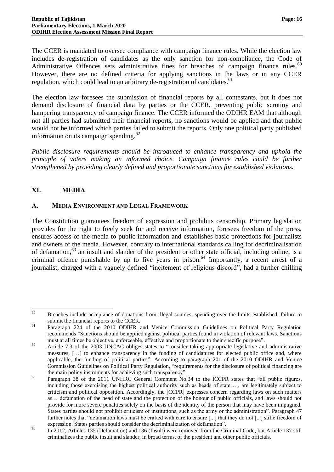The CCER is mandated to oversee compliance with campaign finance rules. While the election law includes de-registration of candidates as the only sanction for non-compliance, the Code of Administrative Offences sets administrative fines for breaches of campaign finance rules.<sup>60</sup> However, there are no defined criteria for applying sanctions in the laws or in any CCER regulation, which could lead to an arbitrary de-registration of candidates.<sup>61</sup>

The election law foresees the submission of financial reports by all contestants, but it does not demand disclosure of financial data by parties or the CCER, preventing public scrutiny and hampering transparency of campaign finance. The CCER informed the ODIHR EAM that although not all parties had submitted their financial reports, no sanctions would be applied and that public would not be informed which parties failed to submit the reports. Only one political party published information on its campaign spending.<sup>62</sup>

*Public disclosure requirements should be introduced to enhance transparency and uphold the principle of voters making an informed choice. Campaign finance rules could be further strengthened by providing clearly defined and proportionate sanctions for established violations.*

# <span id="page-17-0"></span>**XI. MEDIA**

#### <span id="page-17-1"></span>**A. MEDIA ENVIRONMENT AND LEGAL FRAMEWORK**

The Constitution guarantees freedom of expression and prohibits censorship. Primary legislation provides for the right to freely seek for and receive information, foresees freedom of the press, ensures access of the media to public information and establishes basic protections for journalists and owners of the media. However, contrary to international standards calling for decriminalisation of defamation,<sup>63</sup> an insult and slander of the president or other state official, including online, is a criminal offence punishable by up to five years in prison.<sup>64</sup> Importantly, a recent arrest of a journalist, charged with a vaguely defined "incitement of religious discord", had a further chilling

<sup>60</sup> <sup>60</sup> Breaches include acceptance of donations from illegal sources, spending over the limits established, failure to submit the financial reports to the CCER.

<sup>61</sup> Paragraph 224 of the 2010 ODIHR and Venice Commission Guidelines on Political Party Regulation recommends "Sanctions should be applied against political parties found in violation of relevant laws. Sanctions must at all times be objective, enforceable, effective and proportionate to their specific purpose".

<sup>&</sup>lt;sup>62</sup> Article 7.3 of the 2003 UNCAC obliges states to "consider taking appropriate legislative and administrative measures, […] to enhance transparency in the funding of candidatures for elected public office and, where applicable, the funding of political parties". According to paragraph 201 of the 2010 ODIHR and Venice Commission Guidelines on Political Party Regulation, "requirements for the disclosure of political financing are the main policy instruments for achieving such transparency".

<sup>&</sup>lt;sup>63</sup> Paragraph 38 of the 2011 UNHRC General Comment No.34 to the ICCPR states that "all public figures, including those exercising the highest political authority such as heads of state …, are legitimately subject to criticism and political opposition. Accordingly, the [CCPR] expresses concern regarding laws on such matters as… defamation of the head of state and the protection of the honour of public officials, and laws should not provide for more severe penalties solely on the basis of the identity of the person that may have been impugned. States parties should not prohibit criticism of institutions, such as the army or the administration". Paragraph 47 further notes that "defamation laws must be crafted with care to ensure [...] that they do not [...] stifle freedom of expression. States parties should consider the decriminalization of defamation".

<sup>&</sup>lt;sup>64</sup> In 2012, Articles 135 (Defamation) and 136 (Insult) were removed from the Criminal Code, but Article 137 still criminalizes the public insult and slander, in broad terms, of the president and other public officials.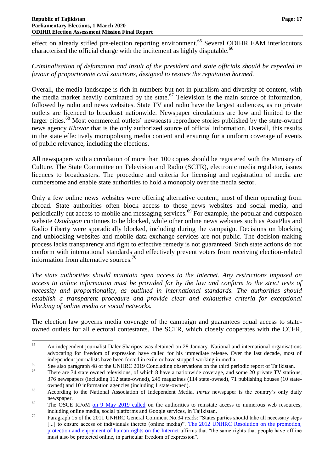effect on already stifled pre-election reporting environment.<sup>65</sup> Several ODIHR EAM interlocutors characterised the official charge with the incitement as highly disputable.<sup>66</sup>

# *Criminalisation of defamation and insult of the president and state officials should be repealed in favour of proportionate civil sanctions, designed to restore the reputation harmed.*

Overall, the media landscape is rich in numbers but not in pluralism and diversity of content, with the media market heavily dominated by the state.<sup>67</sup> Television is the main source of information, followed by radio and news websites. State TV and radio have the largest audiences, as no private outlets are licenced to broadcast nationwide. Newspaper circulations are low and limited to the larger cities.<sup>68</sup> Most commercial outlets' newscasts reproduce stories published by the state-owned news agency *Khovar* that is the only authorized source of official information. Overall, this results in the state effectively monopolising media content and ensuring for a uniform coverage of events of public relevance, including the elections.

All newspapers with a circulation of more than 100 copies should be registered with the Ministry of Culture. The State Committee on Television and Radio (SCTR), electronic media regulator, issues licences to broadcasters. The procedure and criteria for licensing and registration of media are cumbersome and enable state authorities to hold a monopoly over the media sector.

Only a few online news websites were offering alternative content; most of them operating from abroad. State authorities often block access to those news websites and social media, and periodically cut access to mobile and messaging services.<sup>69</sup> For example, the popular and outspoken website *Ozodagon* continues to be blocked, while other online news websites such as AsiaPlus and Radio Liberty were sporadically blocked, including during the campaign. Decisions on blocking and unblocking websites and mobile data exchange services are not public. The decision-making process lacks transparency and right to effective remedy is not guaranteed. Such state actions do not conform with international standards and effectively prevent voters from receiving election-related information from alternative sources.<sup>70</sup>

*The state authorities should maintain open access to the Internet. Any restrictions imposed on access to online information must be provided for by the law and conform to the strict tests of necessity and proportionality, as outlined in international standards. The authorities should establish a transparent procedure and provide clear and exhaustive criteria for exceptional blocking of online media or social networks.*

The election law governs media coverage of the campaign and guarantees equal access to stateowned outlets for all electoral contestants. The SCTR, which closely cooperates with the CCER,

<sup>65</sup> <sup>65</sup> An independent journalist Daler Sharipov was detained on 28 January. National and international organisations advocating for freedom of expression have called for his immediate release. Over the last decade, most of independent journalists have been forced in exile or have stopped working in media.

 $\frac{66}{2}$  See also paragraph 48 of the UNHRC 2019 Concluding observations on the third periodic report of Tajikistan.

There are 34 state owned televisions, of which 8 have a nationwide coverage, and some 20 private TV stations; 376 newspapers (including 112 state-owned), 245 magazines (114 state-owned), 71 publishing houses (10 stateowned) and 10 information agencies (including 1 state-owned).

<sup>68</sup> According to the National Association of Independent Media, *Imruz* newspaper is the country's only daily newspaper.

 $\frac{69}{100}$  The OSCE RFoM [on 9 May 2019 called](https://www.osce.org/representative-on-freedom-of-media/418964) on the authorities to reinstate access to numerous web resources, including online media, social platforms and Google services, in Tajikistan.

<sup>&</sup>lt;sup>70</sup> Paragraph 15 of the 2011 UNHRC General Comment No.34 reads: "States parties should take all necessary steps [...] to ensure access of individuals thereto (online media)". The 2012 UNHRC Resolution on the promotion, [protection and enjoyment of human rights on](https://documents-dds-ny.un.org/doc/RESOLUTION/GEN/G12/153/25/PDF/G1215325.pdf?OpenElement) the Internet affirms that "the same rights that people have offline must also be protected online, in particular freedom of expression".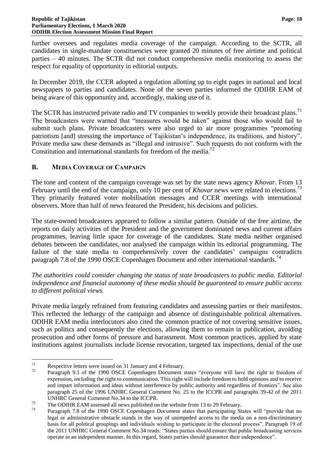further oversees and regulates media coverage of the campaign. According to the SCTR, all candidates in single-mandate constituencies were granted 20 minutes of free airtime and political parties – 40 minutes. The SCTR did not conduct comprehensive media monitoring to assess the respect for equality of opportunity in editorial outputs.

In December 2019, the CCER adopted a regulation allotting up to eight pages in national and local newspapers to parties and candidates. None of the seven parties informed the ODIHR EAM of being aware of this opportunity and, accordingly, making use of it.

The SCTR has instructed private radio and TV companies to weekly provide their broadcast plans.<sup>71</sup> The broadcasters were warned that "measures would be taken" against those who would fail to submit such plans. Private broadcasters were also urged to air more programmes "promoting patriotism [and] stressing the importance of Tajikistan's independence, its traditions, and history". Private media saw these demands as "illegal and intrusive". Such requests do not conform with the Constitution and international standards for freedom of the media.<sup>72</sup>

# <span id="page-19-0"></span>**B. MEDIA COVERAGE OF CAMPAIGN**

The tone and content of the campaign coverage was set by the state news agency *Khovar*. From 13 February until the end of the campaign, only 10 per cent of *Khovar* news were related to elections.<sup>73</sup> They primarily featured voter mobilisation messages and CCER meetings with international observers. More than half of news featured the President, his decisions and policies.

The state-owned broadcasters appeared to follow a similar pattern. Outside of the free airtime, the reports on daily activities of the President and the government dominated news and current affairs programmes, leaving little space for coverage of the candidates. State media neither organised debates between the candidates, nor analysed the campaign within its editorial programming. The failure of the state media to comprehensively cover the candidates' campaigns contradicts paragraph 7.8 of the 1990 OSCE Copenhagen Document and other international standards.<sup>74</sup>

*The authorities could consider changing the status of state broadcasters to public media. Editorial independence and financial autonomy of these media should be guaranteed to ensure public access to different political views.*

Private media largely refrained from featuring candidates and assessing parties or their manifestos. This reflected the lethargy of the campaign and absence of distinguishable political alternatives. ODIHR EAM media interlocutors also cited the common practice of not covering sensitive issues, such as politics and consequently the elections, allowing them to remain in publication, avoiding prosecution and other forms of pressure and harassment. Most common practices, applied by state institutions against journalists include license revocation, targeted tax inspections, denial of the use

 $71$ <sup>71</sup> Respective letters were issued on 31 January and 4 February.<br> $P_{22}$  Respective letters were issued on 31 January and 4 February.

Paragraph 9.1 of the 1990 OSCE Copenhagen Document states "everyone will have the right to freedom of expression, including the right to communication. This right will include freedom to hold opinions and to receive and impart information and ideas without interference by public authority and regardless of frontiers". See also paragraph 25 of the 1996 UNHRC General Comment No. 25 to the ICCPR and paragraphs 39-42 of the 2011 UNHRC General Comment No.34 to the ICCPR.

<sup>&</sup>lt;sup>73</sup> The ODIHR EAM assessed all news published on the website from 13 to 29 February.

Paragraph 7.8 of the 1990 OSCE Copenhagen Document states that participating States will "provide that no legal or administrative obstacle stands in the way of unimpeded access to the media on a non-discriminatory basis for all political groupings and individuals wishing to participate in the electoral process". Paragraph 19 of the 2011 UNHRC General Comment No.34 reads: "States parties should ensure that public broadcasting services operate in an independent manner. In this regard, States parties should guarantee their independence".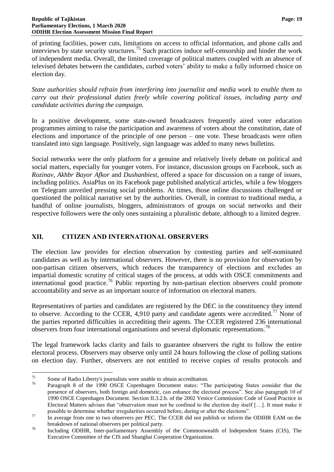of printing facilities, power cuts, limitations on access to official information, and phone calls and interviews by state security structures.<sup>75</sup> Such practices induce self-censorship and hinder the work of independent media. Overall, the limited coverage of political matters coupled with an absence of televised debates between the candidates, curbed voters' ability to make a fully informed choice on election day.

*State authorities should refrain from interfering into journalist and media work to enable them to carry out their professional duties freely while covering political issues, including party and candidate activities during the campaign.*

In a positive development, some state-owned broadcasters frequently aired voter education programmes aiming to raise the participation and awareness of voters about the constitution, date of elections and importance of the principle of one person – one vote. These broadcasts were often translated into sign language. Positively, sign language was added to many news bulletins.

Social networks were the only platform for a genuine and relatively lively debate on political and social matters, especially for younger voters. For instance, discussion groups on Facebook, such as *Rozinav, Akhbr Bayor Afkor* and *Dushanbiest,* offered a space for discussion on a range of issues, including politics. AsiaPlus on its Facebook page published analytical articles, while a few bloggers on Telegram unveiled pressing social problems. At times, those online discussions challenged or questioned the political narrative set by the authorities. Overall, in contrast to traditional media, a handful of online journalists, bloggers, administrators of groups on social networks and their respective followers were the only ones sustaining a pluralistic debate, although to a limited degree.

# <span id="page-20-0"></span>**XII. CITIZEN AND INTERNATIONAL OBSERVERS**

The election law provides for election observation by contesting parties and self-nominated candidates as well as by international observers. However, there is no provision for observation by non-partisan citizen observers, which reduces the transparency of elections and excludes an impartial domestic scrutiny of critical stages of the process, at odds with OSCE commitments and international good practice. <sup>76</sup> Public reporting by non-partisan election observers could promote accountability and serve as an important source of information on electoral matters.

Representatives of parties and candidates are registered by the DEC in the constituency they intend to observe. According to the CCER, 4,910 party and candidate agents were accredited.<sup>77</sup> None of the parties reported difficulties in accrediting their agents. The CCER registered 236 international observers from four international organisations and several diplomatic representations.<sup>78</sup>

The legal framework lacks clarity and fails to guarantee observers the right to follow the entire electoral process. Observers may observe only until 24 hours following the close of polling stations on election day. Further, observers are not entitled to receive copies of results protocols and

 $75$ <sup>75</sup> Some of Radio Liberty's journalists were unable to obtain accreditation.

Paragraph 8 of the 1990 OSCE Copenhagen Document states: "The participating States consider that the presence of observers, both foreign and domestic, can enhance the electoral process". See also paragraph 10 of 1990 OSCE Copenhagen Document. Section II.3.2.b. of the 2002 Venice Commission Code of Good Practice in Electoral Matters advises that "observation must not be confined to the election day itself […]. It must make it possible to determine whether irregularities occurred before, during or after the elections".

<sup>&</sup>lt;sup>77</sup> In average from one to two observers per PEC. The CCER did not publish or inform the ODIHR EAM on the breakdown of national observers per political party.

<sup>78</sup> Including ODIHR, Inter-parliamentary Assembly of the Commonwealth of Independent States (CIS), The Executive Committee of the CIS and Shanghai Cooperation Organization.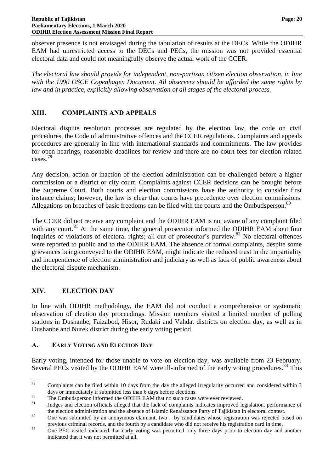observer presence is not envisaged during the tabulation of results at the DECs. While the ODIHR EAM had unrestricted access to the DECs and PECs, the mission was not provided essential electoral data and could not meaningfully observe the actual work of the CCER.

*The electoral law should provide for independent, non-partisan citizen election observation, in line with the 1990 OSCE Copenhagen Document. All observers should be afforded the same rights by law and in practice, explicitly allowing observation of all stages of the electoral process.*

# <span id="page-21-0"></span>**XIII. COMPLAINTS AND APPEALS**

Electoral dispute resolution processes are regulated by the election law, the code on civil procedures, the Code of administrative offences and the CCER regulations. Complaints and appeals procedures are generally in line with international standards and commitments. The law provides for open hearings, reasonable deadlines for review and there are no court fees for election related cases.<sup>79</sup>

Any decision, action or inaction of the election administration can be challenged before a higher commission or a district or city court. Complaints against CCER decisions can be brought before the Supreme Court. Both courts and election commissions have the authority to consider first instance claims; however, the law is clear that courts have precedence over election commissions. Allegations on breaches of basic freedoms can be filed with the courts and the Ombudsperson.<sup>80</sup>

The CCER did not receive any complaint and the ODIHR EAM is not aware of any complaint filed with any court.<sup>81</sup> At the same time, the general prosecutor informed the ODIHR EAM about four inquiries of violations of electoral rights; all out of prosecutor's purview.<sup>82</sup> No electoral offences were reported to public and to the ODIHR EAM. The absence of formal complaints, despite some grievances being conveyed to the ODIHR EAM, might indicate the reduced trust in the impartiality and independence of election administration and judiciary as well as lack of public awareness about the electoral dispute mechanism.

# <span id="page-21-1"></span>**XIV. ELECTION DAY**

In line with ODIHR methodology, the EAM did not conduct a comprehensive or systematic observation of election day proceedings. Mission members visited a limited number of polling stations in Dushanbe, Faizabod, Hisor, Rudaki and Vahdat districts on election day, as well as in Dushanbe and Nurek district during the early voting period.

# <span id="page-21-2"></span>**A. EARLY VOTING AND ELECTION DAY**

Early voting, intended for those unable to vote on election day, was available from 23 February. Several PECs visited by the ODIHR EAM were ill-informed of the early voting procedures.<sup>83</sup> This

<sup>79</sup> Complaints can be filed within 10 days from the day the alleged irregularity occurred and considered within 3 days or immediately if submitted less than 6 days before elections.

<sup>&</sup>lt;sup>80</sup> The Ombudsperson informed the ODIHR EAM that no such cases were ever reviewed.

<sup>81</sup> Judges and election officials alleged that the lack of complaints indicates improved legislation, performance of the election administration and the absence of Islamic Renaissance Party of Tajikistan in electoral contest.

<sup>82</sup> One was submitted by an anonymous claimant, two – by candidates whose registration was rejected based on previous criminal records, and the fourth by a candidate who did not receive his registration card in time.

<sup>&</sup>lt;sup>83</sup> One PEC visited indicated that early voting was permitted only three days prior to election day and another indicated that it was not permitted at all.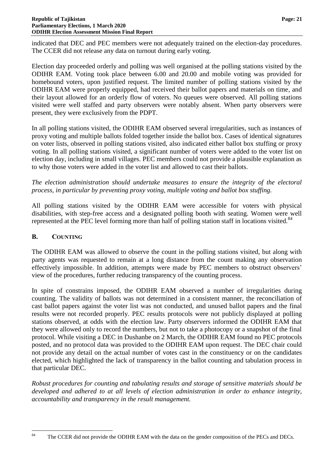indicated that DEC and PEC members were not adequately trained on the election-day procedures. The CCER did not release any data on turnout during early voting.

Election day proceeded orderly and polling was well organised at the polling stations visited by the ODIHR EAM. Voting took place between 6.00 and 20.00 and mobile voting was provided for homebound voters, upon justified request. The limited number of polling stations visited by the ODIHR EAM were properly equipped, had received their ballot papers and materials on time, and their layout allowed for an orderly flow of voters. No queues were observed. All polling stations visited were well staffed and party observers were notably absent. When party observers were present, they were exclusively from the PDPT.

In all polling stations visited, the ODIHR EAM observed several irregularities, such as instances of proxy voting and multiple ballots folded together inside the ballot box. Cases of identical signatures on voter lists, observed in polling stations visited, also indicated either ballot box stuffing or proxy voting. In all polling stations visited, a significant number of voters were added to the voter list on election day, including in small villages. PEC members could not provide a plausible explanation as to why those voters were added in the voter list and allowed to cast their ballots.

*The election administration should undertake measures to ensure the integrity of the electoral process, in particular by preventing proxy voting, multiple voting and ballot box stuffing.*

All polling stations visited by the ODIHR EAM were accessible for voters with physical disabilities, with step-free access and a designated polling booth with seating. Women were well represented at the PEC level forming more than half of polling station staff in locations visited.<sup>84</sup>

# <span id="page-22-0"></span>**B. COUNTING**

The ODIHR EAM was allowed to observe the count in the polling stations visited, but along with party agents was requested to remain at a long distance from the count making any observation effectively impossible. In addition, attempts were made by PEC members to obstruct observers' view of the procedures, further reducing transparency of the counting process.

In spite of constrains imposed, the ODIHR EAM observed a number of irregularities during counting. The validity of ballots was not determined in a consistent manner, the reconciliation of cast ballot papers against the voter list was not conducted, and unused ballot papers and the final results were not recorded properly. PEC results protocols were not publicly displayed at polling stations observed, at odds with the election law. Party observers informed the ODIHR EAM that they were allowed only to record the numbers, but not to take a photocopy or a snapshot of the final protocol. While visiting a DEC in Dushanbe on 2 March, the ODIHR EAM found no PEC protocols posted, and no protocol data was provided to the ODIHR EAM upon request. The DEC chair could not provide any detail on the actual number of votes cast in the constituency or on the candidates elected, which highlighted the lack of transparency in the ballot counting and tabulation process in that particular DEC.

*Robust procedures for counting and tabulating results and storage of sensitive materials should be developed and adhered to at all levels of election administration in order to enhance integrity, accountability and transparency in the result management.*

<sup>84</sup> The CCER did not provide the ODIHR EAM with the data on the gender composition of the PECs and DECs.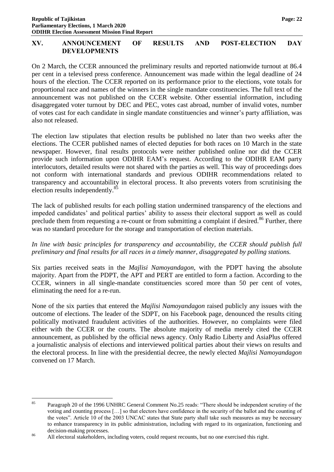# <span id="page-23-0"></span>**XV. ANNOUNCEMENT OF RESULTS AND POST-ELECTION DAY DEVELOPMENTS**

On 2 March, the CCER announced the preliminary results and reported nationwide turnout at 86.4 per cent in a televised press conference. Announcement was made within the legal deadline of 24 hours of the election. The CCER reported on its performance prior to the elections, vote totals for proportional race and names of the winners in the single mandate constituencies. The full text of the announcement was not published on the CCER website. Other essential information, including disaggregated voter turnout by DEC and PEC, votes cast abroad, number of invalid votes, number of votes cast for each candidate in single mandate constituencies and winner's party affiliation, was also not released.

The election law stipulates that election results be published no later than two weeks after the elections. The CCER published names of elected deputies for both races on 10 March in the state newspaper. However, final results protocols were neither published online nor did the CCER provide such information upon ODIHR EAM's request. According to the ODIHR EAM party interlocutors, detailed results were not shared with the parties as well. This way of proceedings does not conform with international standards and previous ODIHR recommendations related to transparency and accountability in electoral process. It also prevents voters from scrutinising the election results independently.<sup>85</sup>

The lack of published results for each polling station undermined transparency of the elections and impeded candidates' and political parties' ability to assess their electoral support as well as could preclude them from requesting a re-count or from submitting a complaint if desired.<sup>86</sup> Further, there was no standard procedure for the storage and transportation of election materials.

# *In line with basic principles for transparency and accountability, the CCER should publish full preliminary and final results for all races in a timely manner, disaggregated by polling stations.*

Six parties received seats in the *Majlisi Namoyandagon*, with the PDPT having the absolute majority. Apart from the PDPT, the APT and PERT are entitled to form a faction. According to the CCER, winners in all single-mandate constituencies scored more than 50 per cent of votes, eliminating the need for a re-run.

None of the six parties that entered the *Majlisi Namoyandagon* raised publicly any issues with the outcome of elections. The leader of the SDPT, on his Facebook page, denounced the results citing politically motivated fraudulent activities of the authorities. However, no complaints were filed either with the CCER or the courts. The absolute majority of media merely cited the CCER announcement, as published by the official news agency. Only Radio Liberty and AsiaPlus offered a journalistic analysis of elections and interviewed political parties about their views on results and the electoral process. In line with the presidential decree, the newly elected *Majlisi Namoyandagon* convened on 17 March.

<sup>85</sup> <sup>85</sup> Paragraph 20 of the 1996 UNHRC General Comment No.25 reads: "There should be independent scrutiny of the voting and counting process […] so that electors have confidence in the security of the ballot and the counting of the votes". Article 10 of the 2003 UNCAC states that State party shall take such measures as may be necessary to enhance transparency in its public administration, including with regard to its organization, functioning and decision-making processes.

<sup>&</sup>lt;sup>86</sup> All electoral stakeholders, including voters, could request recounts, but no one exercised this right.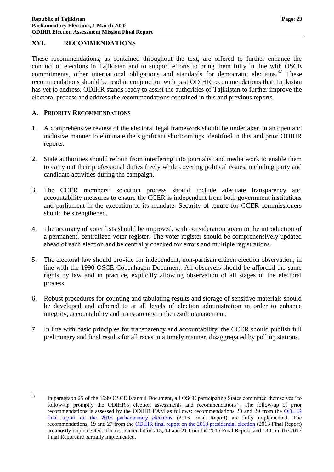# <span id="page-24-0"></span>**XVI. RECOMMENDATIONS**

These recommendations, as contained throughout the text, are offered to further enhance the conduct of elections in Tajikistan and to support efforts to bring them fully in line with OSCE commitments, other international obligations and standards for democratic elections.<sup>87</sup> These recommendations should be read in conjunction with past ODIHR recommendations that Tajikistan has yet to address. ODIHR stands ready to assist the authorities of Tajikistan to further improve the electoral process and address the recommendations contained in this and previous reports.

# <span id="page-24-1"></span>**A. PRIORITY RECOMMENDATIONS**

- 1. A comprehensive review of the electoral legal framework should be undertaken in an open and inclusive manner to eliminate the significant shortcomings identified in this and prior ODIHR reports.
- 2. State authorities should refrain from interfering into journalist and media work to enable them to carry out their professional duties freely while covering political issues, including party and candidate activities during the campaign.
- 3. The CCER members' selection process should include adequate transparency and accountability measures to ensure the CCER is independent from both government institutions and parliament in the execution of its mandate. Security of tenure for CCER commissioners should be strengthened.
- 4. The accuracy of voter lists should be improved, with consideration given to the introduction of a permanent, centralized voter register. The voter register should be comprehensively updated ahead of each election and be centrally checked for errors and multiple registrations.
- 5. The electoral law should provide for independent, non-partisan citizen election observation, in line with the 1990 OSCE Copenhagen Document. All observers should be afforded the same rights by law and in practice, explicitly allowing observation of all stages of the electoral process.
- 6. Robust procedures for counting and tabulating results and storage of sensitive materials should be developed and adhered to at all levels of election administration in order to enhance integrity, accountability and transparency in the result management.
- 7. In line with basic principles for transparency and accountability, the CCER should publish full preliminary and final results for all races in a timely manner, disaggregated by polling stations.

<sup>87</sup> <sup>87</sup> In paragraph 25 of the 1999 OSCE Istanbul Document, all OSCE participating States committed themselves "to follow-up promptly the ODIHR's election assessments and recommendations". The follow-up of prior recommendations is assessed by the ODIHR EAM as follows: recommendations 20 and 29 from the [ODIHR](https://www.osce.org/odihr/elections/tajikistan/158081?download=true)  [final report on the 2015 parliamentary elections](https://www.osce.org/odihr/elections/tajikistan/158081?download=true) (2015 Final Report) are fully implemented. The recommendations, 19 and 27 from the [ODIHR final report on the 2013 presidential election](https://www.osce.org/odihr/110986?download=true) (2013 Final Report) are mostly implemented. The recommendations 13, 14 and 21 from the 2015 Final Report, and 13 from the 2013 Final Report are partially implemented.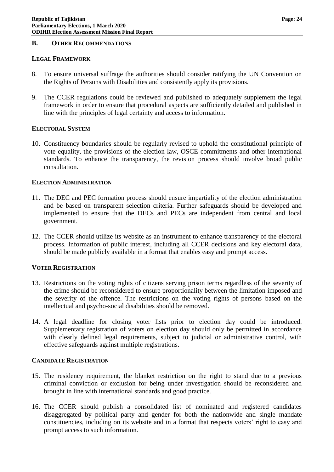#### <span id="page-25-0"></span>**B. OTHER RECOMMENDATIONS**

#### **LEGAL FRAMEWORK**

- 8. To ensure universal suffrage the authorities should consider ratifying the UN Convention on the Rights of Persons with Disabilities and consistently apply its provisions.
- 9. The CCER regulations could be reviewed and published to adequately supplement the legal framework in order to ensure that procedural aspects are sufficiently detailed and published in line with the principles of legal certainty and access to information.

#### **ELECTORAL SYSTEM**

10. Constituency boundaries should be regularly revised to uphold the constitutional principle of vote equality, the provisions of the election law, OSCE commitments and other international standards. To enhance the transparency, the revision process should involve broad public consultation.

#### **ELECTION ADMINISTRATION**

- 11. The DEC and PEC formation process should ensure impartiality of the election administration and be based on transparent selection criteria. Further safeguards should be developed and implemented to ensure that the DECs and PECs are independent from central and local government.
- 12. The CCER should utilize its website as an instrument to enhance transparency of the electoral process. Information of public interest, including all CCER decisions and key electoral data, should be made publicly available in a format that enables easy and prompt access.

#### **VOTER REGISTRATION**

- 13. Restrictions on the voting rights of citizens serving prison terms regardless of the severity of the crime should be reconsidered to ensure proportionality between the limitation imposed and the severity of the offence. The restrictions on the voting rights of persons based on the intellectual and psycho-social disabilities should be removed.
- 14. A legal deadline for closing voter lists prior to election day could be introduced. Supplementary registration of voters on election day should only be permitted in accordance with clearly defined legal requirements, subject to judicial or administrative control, with effective safeguards against multiple registrations.

#### **CANDIDATE REGISTRATION**

- 15. The residency requirement, the blanket restriction on the right to stand due to a previous criminal conviction or exclusion for being under investigation should be reconsidered and brought in line with international standards and good practice.
- 16. The CCER should publish a consolidated list of nominated and registered candidates disaggregated by political party and gender for both the nationwide and single mandate constituencies, including on its website and in a format that respects voters' right to easy and prompt access to such information.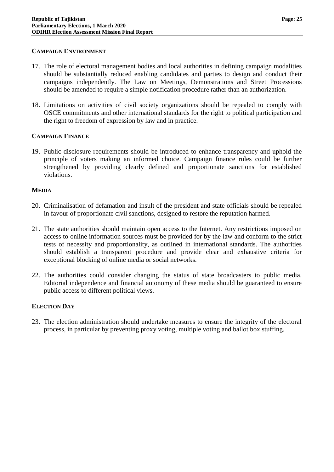#### **CAMPAIGN ENVIRONMENT**

- 17. The role of electoral management bodies and local authorities in defining campaign modalities should be substantially reduced enabling candidates and parties to design and conduct their campaigns independently. The Law on Meetings, Demonstrations and Street Processions should be amended to require a simple notification procedure rather than an authorization.
- 18. Limitations on activities of civil society organizations should be repealed to comply with OSCE commitments and other international standards for the right to political participation and the right to freedom of expression by law and in practice.

# **CAMPAIGN FINANCE**

19. Public disclosure requirements should be introduced to enhance transparency and uphold the principle of voters making an informed choice. Campaign finance rules could be further strengthened by providing clearly defined and proportionate sanctions for established violations.

#### **MEDIA**

- 20. Criminalisation of defamation and insult of the president and state officials should be repealed in favour of proportionate civil sanctions, designed to restore the reputation harmed.
- 21. The state authorities should maintain open access to the Internet. Any restrictions imposed on access to online information sources must be provided for by the law and conform to the strict tests of necessity and proportionality, as outlined in international standards. The authorities should establish a transparent procedure and provide clear and exhaustive criteria for exceptional blocking of online media or social networks.
- 22. The authorities could consider changing the status of state broadcasters to public media. Editorial independence and financial autonomy of these media should be guaranteed to ensure public access to different political views.

# **ELECTION DAY**

23. The election administration should undertake measures to ensure the integrity of the electoral process, in particular by preventing proxy voting, multiple voting and ballot box stuffing.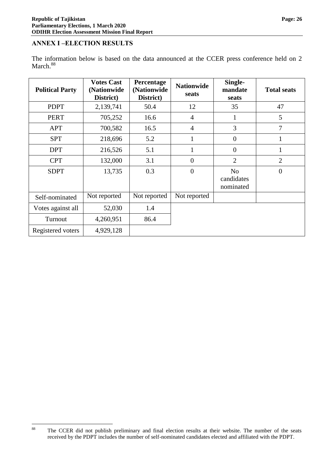#### <span id="page-27-0"></span>**ANNEX I –ELECTION RESULTS**

The information below is based on the data announced at the CCER press conference held on 2 March.<sup>88</sup>

| <b>Political Party</b> | <b>Votes Cast</b><br>(Nationwide<br>District) | Percentage<br>(Nationwide<br>District) | <b>Nationwide</b><br>seats | Single-<br>mandate<br>seats               | <b>Total seats</b> |
|------------------------|-----------------------------------------------|----------------------------------------|----------------------------|-------------------------------------------|--------------------|
| <b>PDPT</b>            | 2,139,741                                     | 50.4                                   | 12                         | 35                                        | 47                 |
| <b>PERT</b>            | 705,252                                       | 16.6                                   | $\overline{4}$             | $\mathbf{1}$                              | 5                  |
| APT                    | 700,582                                       | 16.5                                   | $\overline{4}$             | 3                                         | 7                  |
| <b>SPT</b>             | 218,696                                       | 5.2                                    | $\mathbf{1}$               | $\overline{0}$                            | $\mathbf{1}$       |
| <b>DPT</b>             | 216,526                                       | 5.1                                    | $\mathbf{1}$               | $\overline{0}$                            | 1                  |
| <b>CPT</b>             | 132,000                                       | 3.1                                    | $\overline{0}$             | $\overline{2}$                            | $\overline{2}$     |
| <b>SDPT</b>            | 13,735                                        | 0.3                                    | $\overline{0}$             | N <sub>o</sub><br>candidates<br>nominated | $\overline{0}$     |
| Self-nominated         | Not reported                                  | Not reported                           | Not reported               |                                           |                    |
| Votes against all      | 52,030                                        | 1.4                                    |                            |                                           |                    |
| Turnout                | 4,260,951                                     | 86.4                                   |                            |                                           |                    |
| Registered voters      | 4,929,128                                     |                                        |                            |                                           |                    |

<sup>88</sup> The CCER did not publish preliminary and final election results at their website. The number of the seats received by the PDPT includes the number of self-nominated candidates elected and affiliated with the PDPT.